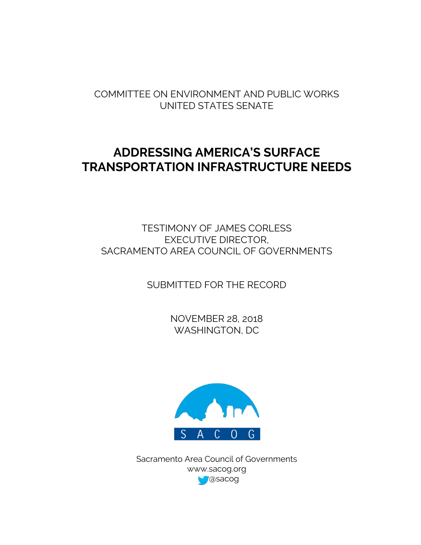COMMITTEE ON ENVIRONMENT AND PUBLIC WORKS UNITED STATES SENATE

# **ADDRESSING AMERICA'S SURFACE TRANSPORTATION INFRASTRUCTURE NEEDS**

TESTIMONY OF JAMES CORLESS EXECUTIVE DIRECTOR, SACRAMENTO AREA COUNCIL OF GOVERNMENTS

SUBMITTED FOR THE RECORD

NOVEMBER 28, 2018 WASHINGTON, DC



Sacramento Area Council of Governments www.sacog.org @sacog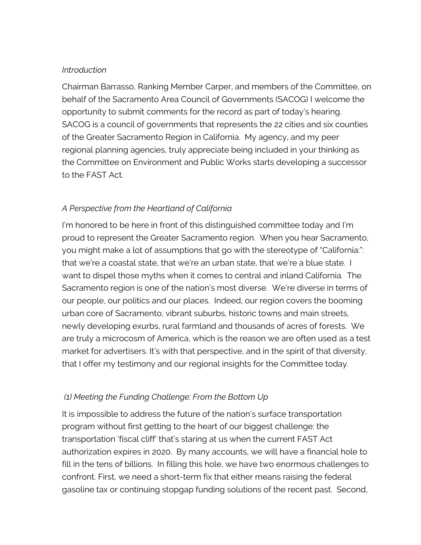#### *Introduction*

Chairman Barrasso, Ranking Member Carper, and members of the Committee, on behalf of the Sacramento Area Council of Governments (SACOG) I welcome the opportunity to submit comments for the record as part of today's hearing. SACOG is a council of governments that represents the 22 cities and six counties of the Greater Sacramento Region in California. My agency, and my peer regional planning agencies, truly appreciate being included in your thinking as the Committee on Environment and Public Works starts developing a successor to the FAST Act.

# *A Perspective from the Heartland of California*

I'm honored to be here in front of this distinguished committee today and I'm proud to represent the Greater Sacramento region. When you hear Sacramento, you might make a lot of assumptions that go with the stereotype of "California:": that we're a coastal state, that we're an urban state, that we're a blue state. I want to dispel those myths when it comes to central and inland California. The Sacramento region is one of the nation's most diverse. We're diverse in terms of our people, our politics and our places. Indeed, our region covers the booming urban core of Sacramento, vibrant suburbs, historic towns and main streets, newly developing exurbs, rural farmland and thousands of acres of forests. We are truly a microcosm of America, which is the reason we are often used as a test market for advertisers. It's with that perspective, and in the spirit of that diversity, that I offer my testimony and our regional insights for the Committee today.

## *(1) Meeting the Funding Challenge: From the Bottom Up*

It is impossible to address the future of the nation's surface transportation program without first getting to the heart of our biggest challenge: the transportation 'fiscal cliff' that's staring at us when the current FAST Act authorization expires in 2020. By many accounts, we will have a financial hole to fill in the tens of billions. In filling this hole, we have two enormous challenges to confront. First, we need a short-term fix that either means raising the federal gasoline tax or continuing stopgap funding solutions of the recent past. Second,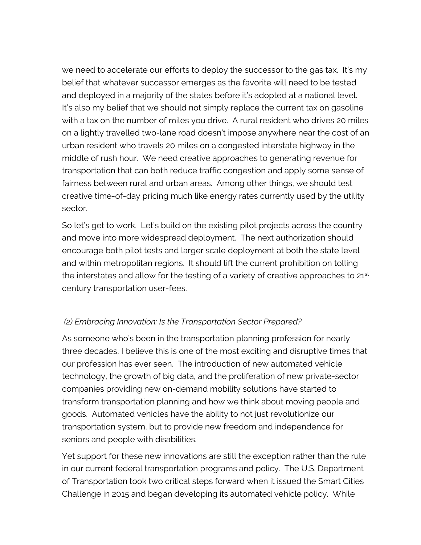we need to accelerate our efforts to deploy the successor to the gas tax. It's my belief that whatever successor emerges as the favorite will need to be tested and deployed in a majority of the states before it's adopted at a national level. It's also my belief that we should not simply replace the current tax on gasoline with a tax on the number of miles you drive. A rural resident who drives 20 miles on a lightly travelled two-lane road doesn't impose anywhere near the cost of an urban resident who travels 20 miles on a congested interstate highway in the middle of rush hour. We need creative approaches to generating revenue for transportation that can both reduce traffic congestion and apply some sense of fairness between rural and urban areas. Among other things, we should test creative time-of-day pricing much like energy rates currently used by the utility sector.

So let's get to work. Let's build on the existing pilot projects across the country and move into more widespread deployment. The next authorization should encourage both pilot tests and larger scale deployment at both the state level and within metropolitan regions. It should lift the current prohibition on tolling the interstates and allow for the testing of a variety of creative approaches to  $21<sup>st</sup>$ century transportation user-fees.

# *(2) Embracing Innovation: Is the Transportation Sector Prepared?*

As someone who's been in the transportation planning profession for nearly three decades, I believe this is one of the most exciting and disruptive times that our profession has ever seen. The introduction of new automated vehicle technology, the growth of big data, and the proliferation of new private-sector companies providing new on-demand mobility solutions have started to transform transportation planning and how we think about moving people and goods. Automated vehicles have the ability to not just revolutionize our transportation system, but to provide new freedom and independence for seniors and people with disabilities.

Yet support for these new innovations are still the exception rather than the rule in our current federal transportation programs and policy. The U.S. Department of Transportation took two critical steps forward when it issued the Smart Cities Challenge in 2015 and began developing its automated vehicle policy. While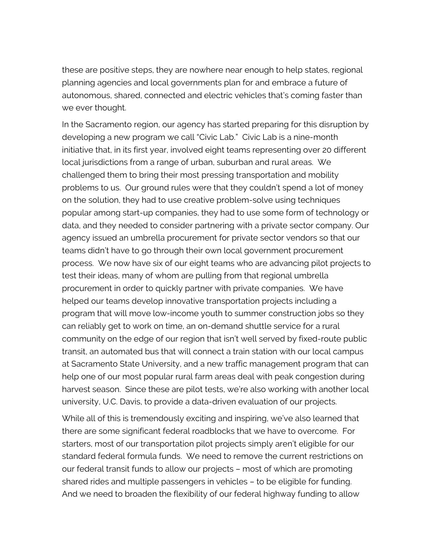these are positive steps, they are nowhere near enough to help states, regional planning agencies and local governments plan for and embrace a future of autonomous, shared, connected and electric vehicles that's coming faster than we ever thought.

In the Sacramento region, our agency has started preparing for this disruption by developing a new program we call "Civic Lab." Civic Lab is a nine-month initiative that, in its first year, involved eight teams representing over 20 different local jurisdictions from a range of urban, suburban and rural areas. We challenged them to bring their most pressing transportation and mobility problems to us. Our ground rules were that they couldn't spend a lot of money on the solution, they had to use creative problem-solve using techniques popular among start-up companies, they had to use some form of technology or data, and they needed to consider partnering with a private sector company. Our agency issued an umbrella procurement for private sector vendors so that our teams didn't have to go through their own local government procurement process. We now have six of our eight teams who are advancing pilot projects to test their ideas, many of whom are pulling from that regional umbrella procurement in order to quickly partner with private companies. We have helped our teams develop innovative transportation projects including a program that will move low-income youth to summer construction jobs so they can reliably get to work on time, an on-demand shuttle service for a rural community on the edge of our region that isn't well served by fixed-route public transit, an automated bus that will connect a train station with our local campus at Sacramento State University, and a new traffic management program that can help one of our most popular rural farm areas deal with peak congestion during harvest season. Since these are pilot tests, we're also working with another local university, U.C. Davis, to provide a data-driven evaluation of our projects.

While all of this is tremendously exciting and inspiring, we've also learned that there are some significant federal roadblocks that we have to overcome. For starters, most of our transportation pilot projects simply aren't eligible for our standard federal formula funds. We need to remove the current restrictions on our federal transit funds to allow our projects – most of which are promoting shared rides and multiple passengers in vehicles – to be eligible for funding. And we need to broaden the flexibility of our federal highway funding to allow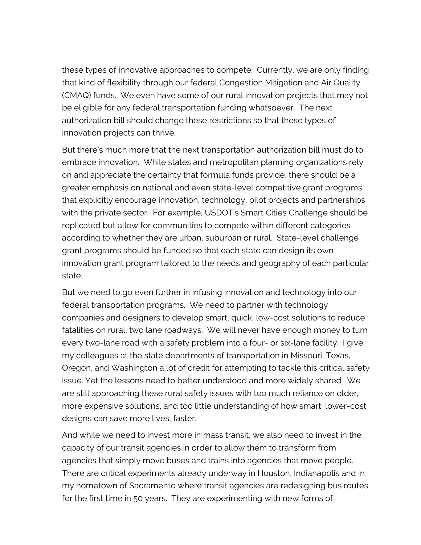these types of innovative approaches to compete. Currently, we are only finding that kind of flexibility through our federal Congestion Mitigation and Air Quality (CMAQ) funds. We even have some of our rural innovation projects that may not be eligible for any federal transportation funding whatsoever. The next authorization bill should change these restrictions so that these types of innovation projects can thrive.

But there's much more that the next transportation authorization bill must do to embrace innovation. While states and metropolitan planning organizations rely on and appreciate the certainty that formula funds provide, there should be a greater emphasis on national and even state-level competitive grant programs that explicitly encourage innovation, technology, pilot projects and partnerships with the private sector. For example, USDOT's Smart Cities Challenge should be replicated but allow for communities to compete within different categories according to whether they are urban, suburban or rural. State-level challenge grant programs should be funded so that each state can design its own innovation grant program tailored to the needs and geography of each particular state.

But we need to go even further in infusing innovation and technology into our federal transportation programs. We need to partner with technology companies and designers to develop smart, quick, low-cost solutions to reduce fatalities on rural, two lane roadways. We will never have enough money to turn every two-lane road with a safety problem into a four- or six-lane facility. I give my colleagues at the state departments of transportation in Missouri, Texas, Oregon, and Washington a lot of credit for attempting to tackle this critical safety issue. Yet the lessons need to better understood and more widely shared. We are still approaching these rural safety issues with too much reliance on older, more expensive solutions, and too little understanding of how smart, lower-cost designs can save more lives, faster.

And while we need to invest more in mass transit, we also need to invest in the capacity of our transit agencies in order to allow them to transform from agencies that simply move buses and trains into agencies that move people. There are critical experiments already underway in Houston, Indianapolis and in my hometown of Sacramento where transit agencies are redesigning bus routes for the first time in 50 years. They are experimenting with new forms of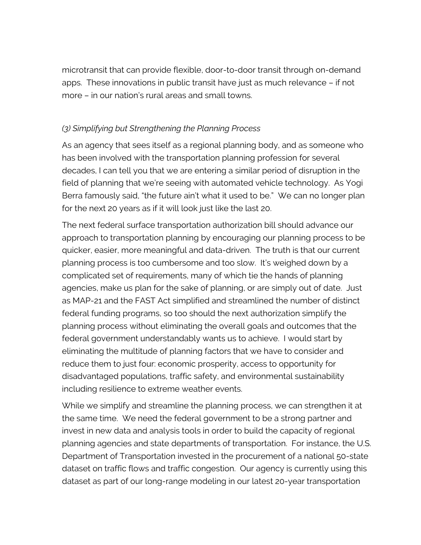microtransit that can provide flexible, door-to-door transit through on-demand apps. These innovations in public transit have just as much relevance – if not more – in our nation's rural areas and small towns.

## *(3) Simplifying but Strengthening the Planning Process*

As an agency that sees itself as a regional planning body, and as someone who has been involved with the transportation planning profession for several decades, I can tell you that we are entering a similar period of disruption in the field of planning that we're seeing with automated vehicle technology. As Yogi Berra famously said, "the future ain't what it used to be." We can no longer plan for the next 20 years as if it will look just like the last 20.

The next federal surface transportation authorization bill should advance our approach to transportation planning by encouraging our planning process to be quicker, easier, more meaningful and data-driven. The truth is that our current planning process is too cumbersome and too slow. It's weighed down by a complicated set of requirements, many of which tie the hands of planning agencies, make us plan for the sake of planning, or are simply out of date. Just as MAP-21 and the FAST Act simplified and streamlined the number of distinct federal funding programs, so too should the next authorization simplify the planning process without eliminating the overall goals and outcomes that the federal government understandably wants us to achieve. I would start by eliminating the multitude of planning factors that we have to consider and reduce them to just four: economic prosperity, access to opportunity for disadvantaged populations, traffic safety, and environmental sustainability including resilience to extreme weather events.

While we simplify and streamline the planning process, we can strengthen it at the same time. We need the federal government to be a strong partner and invest in new data and analysis tools in order to build the capacity of regional planning agencies and state departments of transportation. For instance, the U.S. Department of Transportation invested in the procurement of a national 50-state dataset on traffic flows and traffic congestion. Our agency is currently using this dataset as part of our long-range modeling in our latest 20-year transportation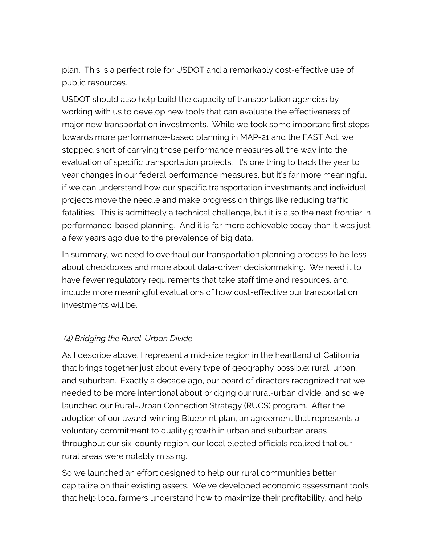plan. This is a perfect role for USDOT and a remarkably cost-effective use of public resources.

USDOT should also help build the capacity of transportation agencies by working with us to develop new tools that can evaluate the effectiveness of major new transportation investments. While we took some important first steps towards more performance-based planning in MAP-21 and the FAST Act, we stopped short of carrying those performance measures all the way into the evaluation of specific transportation projects. It's one thing to track the year to year changes in our federal performance measures, but it's far more meaningful if we can understand how our specific transportation investments and individual projects move the needle and make progress on things like reducing traffic fatalities. This is admittedly a technical challenge, but it is also the next frontier in performance-based planning. And it is far more achievable today than it was just a few years ago due to the prevalence of big data.

In summary, we need to overhaul our transportation planning process to be less about checkboxes and more about data-driven decisionmaking. We need it to have fewer regulatory requirements that take staff time and resources, and include more meaningful evaluations of how cost-effective our transportation investments will be.

## *(4) Bridging the Rural-Urban Divide*

As I describe above, I represent a mid-size region in the heartland of California that brings together just about every type of geography possible: rural, urban, and suburban. Exactly a decade ago, our board of directors recognized that we needed to be more intentional about bridging our rural-urban divide, and so we launched our Rural-Urban Connection Strategy (RUCS) program. After the adoption of our award-winning Blueprint plan, an agreement that represents a voluntary commitment to quality growth in urban and suburban areas throughout our six-county region, our local elected officials realized that our rural areas were notably missing.

So we launched an effort designed to help our rural communities better capitalize on their existing assets. We've developed economic assessment tools that help local farmers understand how to maximize their profitability, and help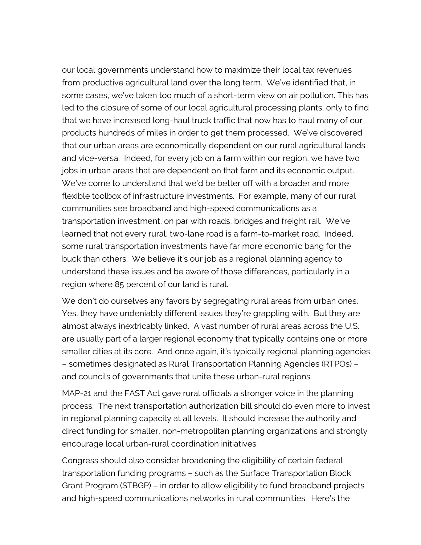our local governments understand how to maximize their local tax revenues from productive agricultural land over the long term. We've identified that, in some cases, we've taken too much of a short-term view on air pollution. This has led to the closure of some of our local agricultural processing plants, only to find that we have increased long-haul truck traffic that now has to haul many of our products hundreds of miles in order to get them processed. We've discovered that our urban areas are economically dependent on our rural agricultural lands and vice-versa. Indeed, for every job on a farm within our region, we have two jobs in urban areas that are dependent on that farm and its economic output. We've come to understand that we'd be better off with a broader and more flexible toolbox of infrastructure investments. For example, many of our rural communities see broadband and high-speed communications as a transportation investment, on par with roads, bridges and freight rail. We've learned that not every rural, two-lane road is a farm-to-market road. Indeed, some rural transportation investments have far more economic bang for the buck than others. We believe it's our job as a regional planning agency to understand these issues and be aware of those differences, particularly in a region where 85 percent of our land is rural.

We don't do ourselves any favors by segregating rural areas from urban ones. Yes, they have undeniably different issues they're grappling with. But they are almost always inextricably linked. A vast number of rural areas across the U.S. are usually part of a larger regional economy that typically contains one or more smaller cities at its core. And once again, it's typically regional planning agencies – sometimes designated as Rural Transportation Planning Agencies (RTPOs) – and councils of governments that unite these urban-rural regions.

MAP-21 and the FAST Act gave rural officials a stronger voice in the planning process. The next transportation authorization bill should do even more to invest in regional planning capacity at all levels. It should increase the authority and direct funding for smaller, non-metropolitan planning organizations and strongly encourage local urban-rural coordination initiatives.

Congress should also consider broadening the eligibility of certain federal transportation funding programs – such as the Surface Transportation Block Grant Program (STBGP) – in order to allow eligibility to fund broadband projects and high-speed communications networks in rural communities. Here's the